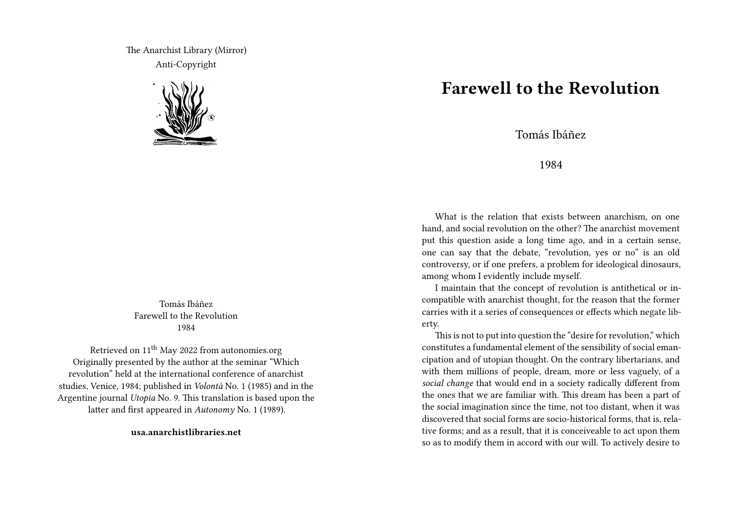The Anarchist Library (Mirror) Anti-Copyright



Tomás Ibáñez Farewell to the Revolution 1984

Retrieved on  $11^{th}$  May 2022 from autonomies.org Originally presented by the author at the seminar "Which revolution" held at the international conference of anarchist studies, Venice, 1984; published in *Volontá* No. 1 (1985) and in the Argentine journal *Utopia* No. 9. This translation is based upon the latter and first appeared in *Autonomy* No. 1 (1989).

**usa.anarchistlibraries.net**

## **Farewell to the Revolution**

Tomás Ibáñez

## 1984

What is the relation that exists between anarchism, on one hand, and social revolution on the other? The anarchist movement put this question aside a long time ago, and in a certain sense, one can say that the debate, "revolution, yes or no" is an old controversy, or if one prefers, a problem for ideological dinosaurs, among whom I evidently include myself.

I maintain that the concept of revolution is antithetical or incompatible with anarchist thought, for the reason that the former carries with it a series of consequences or effects which negate liberty.

This is not to put into question the "desire for revolution," which constitutes a fundamental element of the sensibility of social emancipation and of utopian thought. On the contrary libertarians, and with them millions of people, dream, more or less vaguely, of a *social change* that would end in a society radically different from the ones that we are familiar with. This dream has been a part of the social imagination since the time, not too distant, when it was discovered that social forms are socio-historical forms, that is, relative forms; and as a result, that it is conceiveable to act upon them so as to modify them in accord with our will. To actively desire to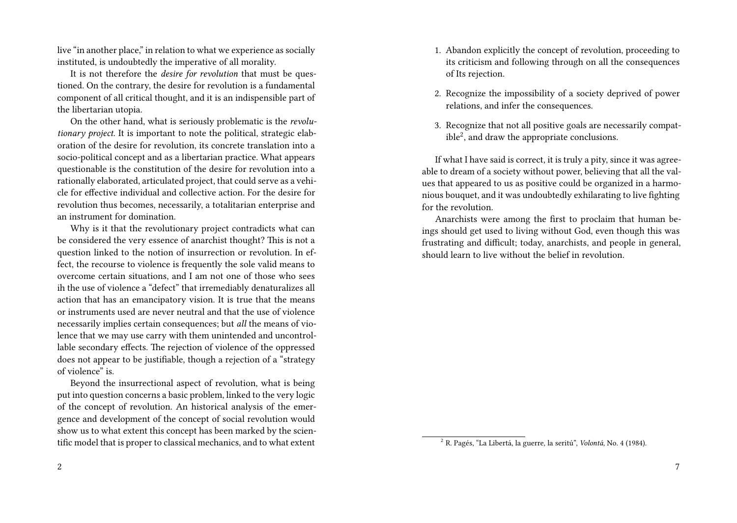live "in another place," in relation to what we experience as socially instituted, is undoubtedly the imperative of all morality.

It is not therefore the *desire for revolution* that must be questioned. On the contrary, the desire for revolution is a fundamental component of all critical thought, and it is an indispensible part of the libertarian utopia.

On the other hand, what is seriously problematic is the *revolutionary project*. It is important to note the political, strategic elaboration of the desire for revolution, its concrete translation into a socio-political concept and as a libertarian practice. What appears questionable is the constitution of the desire for revolution into a rationally elaborated, articulated project, that could serve as a vehicle for effective individual and collective action. For the desire for revolution thus becomes, necessarily, a totalitarian enterprise and an instrument for domination.

Why is it that the revolutionary project contradicts what can be considered the very essence of anarchist thought? This is not a question linked to the notion of insurrection or revolution. In effect, the recourse to violence is frequently the sole valid means to overcome certain situations, and I am not one of those who sees ih the use of violence a "defect" that irremediably denaturalizes all action that has an emancipatory vision. It is true that the means or instruments used are never neutral and that the use of violence necessarily implies certain consequences; but *all* the means of violence that we may use carry with them unintended and uncontrollable secondary effects. The rejection of violence of the oppressed does not appear to be justifiable, though a rejection of a "strategy of violence" is.

Beyond the insurrectional aspect of revolution, what is being put into question concerns a basic problem, linked to the very logic of the concept of revolution. An historical analysis of the emergence and development of the concept of social revolution would show us to what extent this concept has been marked by the scientific model that is proper to classical mechanics, and to what extent

2

- 1. Abandon explicitly the concept of revolution, proceeding to its criticism and following through on all the consequences of Its rejection.
- 2. Recognize the impossibility of a society deprived of power relations, and infer the consequences.
- 3. Recognize that not all positive goals are necessarily compatible<sup>2</sup> , and draw the appropriate conclusions.

If what I have said is correct, it is truly a pity, since it was agreeable to dream of a society without power, believing that all the values that appeared to us as positive could be organized in a harmonious bouquet, and it was undoubtedly exhilarating to live fighting for the revolution.

Anarchists were among the first to proclaim that human beings should get used to living without God, even though this was frustrating and difficult; today, anarchists, and people in general, should learn to live without the belief in revolution.

<sup>2</sup> R. Pagés, "La Libertá, la guerre, la seritú", *Volontá*, No. 4 (1984).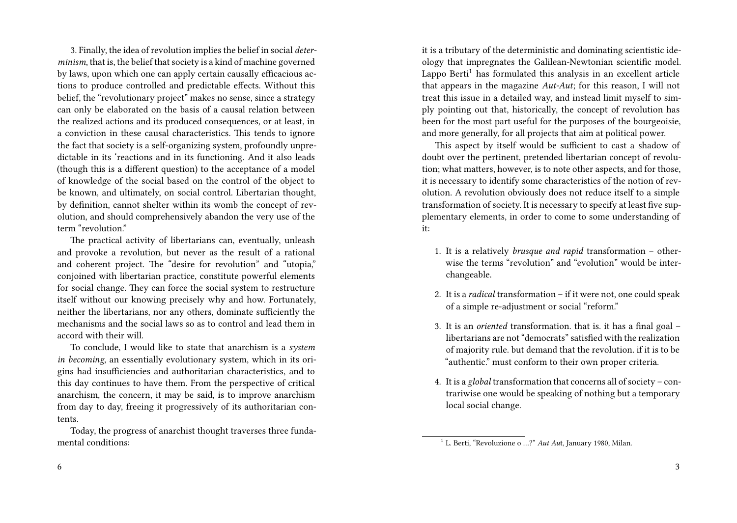3. Finally, the idea of revolution implies the belief in social *determinism*, that is, the belief that society is a kind of machine governed by laws, upon which one can apply certain causally efficacious actions to produce controlled and predictable effects. Without this belief, the "revolutionary project" makes no sense, since a strategy can only be elaborated on the basis of a causal relation between the realized actions and its produced consequences, or at least, in a conviction in these causal characteristics. This tends to ignore the fact that society is a self-organizing system, profoundly unpredictable in its 'reactions and in its functioning. And it also leads (though this is a different question) to the acceptance of a model of knowledge of the social based on the control of the object to be known, and ultimately, on social control. Libertarian thought, by definition, cannot shelter within its womb the concept of revolution, and should comprehensively abandon the very use of the term "revolution."

The practical activity of libertarians can, eventually, unleash and provoke a revolution, but never as the result of a rational and coherent project. The "desire for revolution" and "utopia," conjoined with libertarian practice, constitute powerful elements for social change. They can force the social system to restructure itself without our knowing precisely why and how. Fortunately, neither the libertarians, nor any others, dominate sufficiently the mechanisms and the social laws so as to control and lead them in accord with their will.

To conclude, I would like to state that anarchism is a *system in becoming*, an essentially evolutionary system, which in its origins had insufficiencies and authoritarian characteristics, and to this day continues to have them. From the perspective of critical anarchism, the concern, it may be said, is to improve anarchism from day to day, freeing it progressively of its authoritarian contents.

Today, the progress of anarchist thought traverses three fundamental conditions:

it is a tributary of the deterministic and dominating scientistic ideology that impregnates the Galilean-Newtonian scientific model. Lappo Berti<sup>1</sup> has formulated this analysis in an excellent article that appears in the magazine *Aut-Aut*; for this reason, I will not treat this issue in a detailed way, and instead limit myself to simply pointing out that, historically, the concept of revolution has been for the most part useful for the purposes of the bourgeoisie, and more generally, for all projects that aim at political power.

This aspect by itself would be sufficient to cast a shadow of doubt over the pertinent, pretended libertarian concept of revolution; what matters, however, is to note other aspects, and for those, it is necessary to identify some characteristics of the notion of revolution. A revolution obviously does not reduce itself to a simple transformation of society. It is necessary to specify at least five supplementary elements, in order to come to some understanding of it:

- 1. It is a relatively *brusque and rapid* transformation otherwise the terms "revolution" and "evolution" would be interchangeable.
- 2. It is a *radical* transformation if it were not, one could speak of a simple re-adjustment or social "reform."
- 3. It is an *oriented* transformation. that is. it has a final goal libertarians are not "democrats" satisfied with the realization of majority rule. but demand that the revolution. if it is to be "authentic." must conform to their own proper criteria.
- 4. It is a *global* transformation that concerns all of society contrariwise one would be speaking of nothing but a temporary local social change.

<sup>&</sup>lt;sup>1</sup> L. Berti, "Revoluzione o ...?" *Aut Aut*, January 1980, Milan.